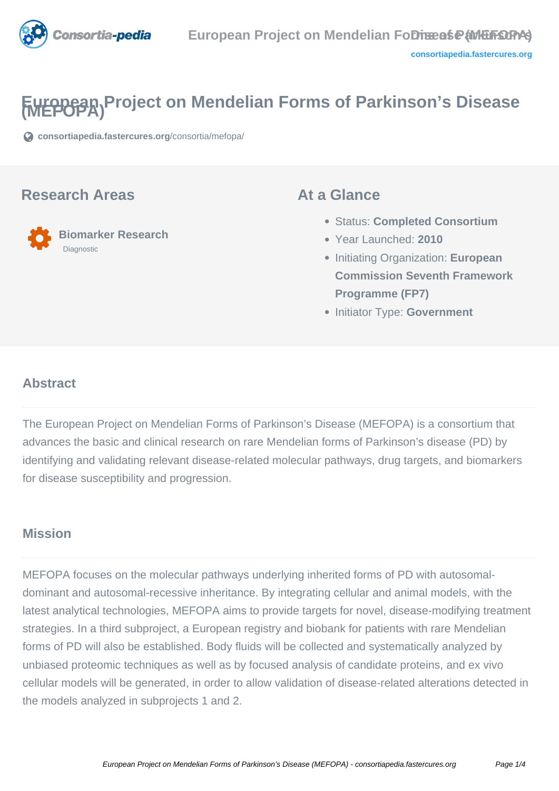

# **European Project on Mendelian Forms of Parkinson's Disease**

**[consortiapedia.fastercures.org](https://consortiapedia.fastercures.org/consortia/mefopa/)**[/consortia/mefopa/](https://consortiapedia.fastercures.org/consortia/mefopa/)

#### **Research Areas**



#### **At a Glance**

- Status: **Completed Consortium**
- Year Launched: **2010**
- Initiating Organization: **European Commission Seventh Framework Programme (FP7)**
- **Initiator Type: Government**

#### $\overline{a}$ **Abstract**

The European Project on Mendelian Forms of Parkinson's Disease (MEFOPA) is a consortium that advances the basic and clinical research on rare Mendelian forms of Parkinson's disease (PD) by identifying and validating relevant disease-related molecular pathways, drug targets, and biomarkers for disease susceptibility and progression.

### **Mission**

MEFOPA focuses on the molecular pathways underlying inherited forms of PD with autosomaldominant and autosomal-recessive inheritance. By integrating cellular and animal models, with the latest analytical technologies, MEFOPA aims to provide targets for novel, disease-modifying treatment strategies. In a third subproject, a European registry and biobank for patients with rare Mendelian forms of PD will also be established. Body fluids will be collected and systematically analyzed by unbiased proteomic techniques as well as by focused analysis of candidate proteins, and ex vivo cellular models will be generated, in order to allow validation of disease-related alterations detected in the models analyzed in subprojects 1 and 2.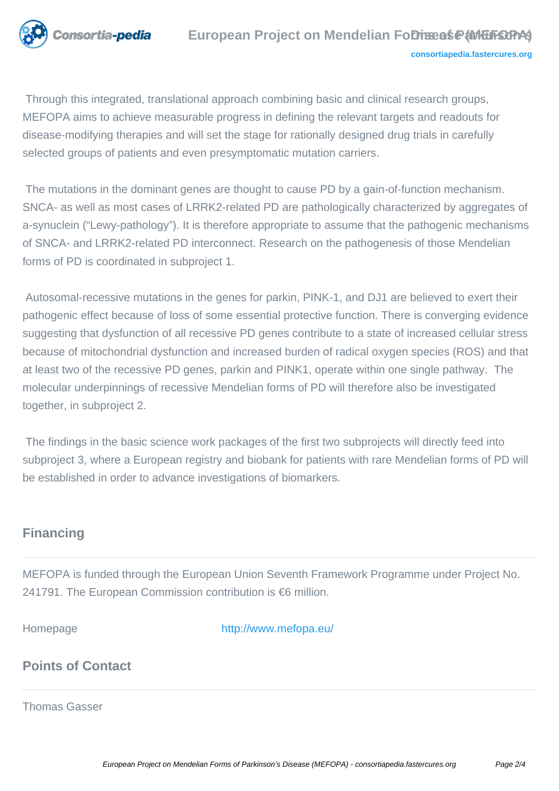

 Through this integrated, translational approach combining basic and clinical research groups, MEFOPA aims to achieve measurable progress in defining the relevant targets and readouts for disease-modifying therapies and will set the stage for rationally designed drug trials in carefully selected groups of patients and even presymptomatic mutation carriers.

 The mutations in the dominant genes are thought to cause PD by a gain-of-function mechanism. SNCA- as well as most cases of LRRK2-related PD are pathologically characterized by aggregates of a-synuclein ("Lewy-pathology"). It is therefore appropriate to assume that the pathogenic mechanisms of SNCA- and LRRK2-related PD interconnect. Research on the pathogenesis of those Mendelian forms of PD is coordinated in subproject 1.

 Autosomal-recessive mutations in the genes for parkin, PINK-1, and DJ1 are believed to exert their pathogenic effect because of loss of some essential protective function. There is converging evidence suggesting that dysfunction of all recessive PD genes contribute to a state of increased cellular stress because of mitochondrial dysfunction and increased burden of radical oxygen species (ROS) and that at least two of the recessive PD genes, parkin and PINK1, operate within one single pathway. The molecular underpinnings of recessive Mendelian forms of PD will therefore also be investigated together, in subproject 2.

 The findings in the basic science work packages of the first two subprojects will directly feed into subproject 3, where a European registry and biobank for patients with rare Mendelian forms of PD will be established in order to advance investigations of biomarkers.

### **Financing**

MEFOPA is funded through the European Union Seventh Framework Programme under Project No. 241791. The European Commission contribution is €6 million.

Homepage <http://www.mefopa.eu/>

## **Points of Contact**

Thomas Gasser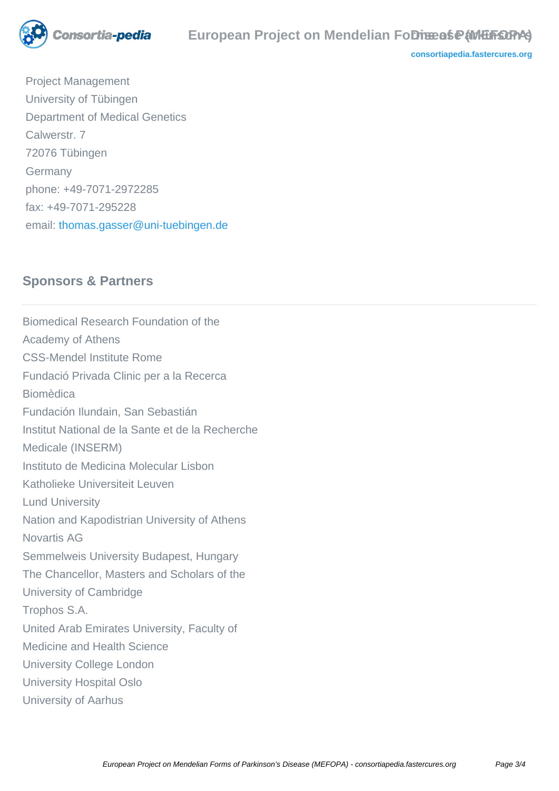

**[consortiapedia.fastercures.org](http://consortiapedia.fastercures.org/)**

 Project Management University of Tübingen Department of Medical Genetics Calwerstr. 7 72076 Tübingen Germany phone: +49-7071-2972285 fax: +49-7071-295228 email: [thomas.gasser@uni-tuebingen.de](mailto:thomas.gasser@uni-tuebingen.de)

#### **Sponsors & Partners**

Biomedical Research Foundation of the Academy of Athens CSS-Mendel Institute Rome Fundació Privada Clinic per a la Recerca Biomèdica Fundación Ilundain, San Sebastián Institut National de la Sante et de la Recherche Medicale (INSERM) Instituto de Medicina Molecular Lisbon Katholieke Universiteit Leuven Lund University Nation and Kapodistrian University of Athens Novartis AG Semmelweis University Budapest, Hungary The Chancellor, Masters and Scholars of the University of Cambridge Trophos S.A. United Arab Emirates University, Faculty of Medicine and Health Science University College London University Hospital Oslo University of Aarhus